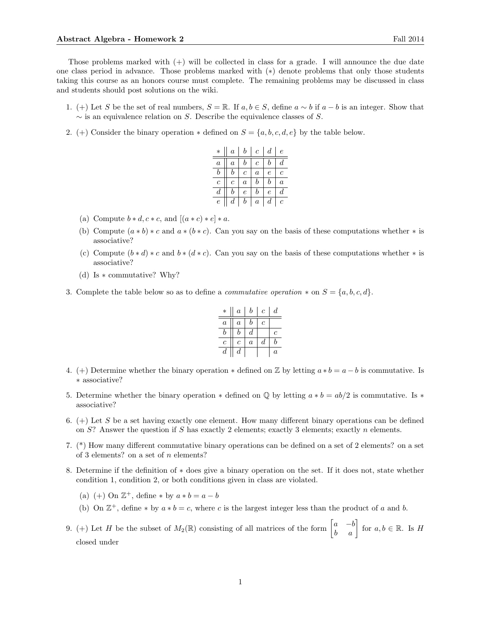Those problems marked with  $(+)$  will be collected in class for a grade. I will announce the due date one class period in advance. Those problems marked with (∗) denote problems that only those students taking this course as an honors course must complete. The remaining problems may be discussed in class and students should post solutions on the wiki.

- 1. (+) Let S be the set of real numbers,  $S = \mathbb{R}$ . If  $a, b \in S$ , define  $a \sim b$  if  $a b$  is an integer. Show that  $\sim$  is an equivalence relation on S. Describe the equivalence classes of S.
- 2. (+) Consider the binary operation  $\ast$  defined on  $S = \{a, b, c, d, e\}$  by the table below.

| $\ast$           | $\it a$ | b                | $\,c\,$          | $\boldsymbol{d}$ | е       |
|------------------|---------|------------------|------------------|------------------|---------|
| $\boldsymbol{a}$ | $\it a$ | b                | $\boldsymbol{c}$ | b                | d       |
| b                | b       | с                | $\boldsymbol{a}$ | е                | Ċ       |
| с                | с       | $\boldsymbol{a}$ | b                | b                | $\it a$ |
| d                | b       | e                | b                | е                | d       |
| e                | d       | b                | $\boldsymbol{a}$ | d                | с       |

- (a) Compute  $b * d, c * c$ , and  $[(a * c) * e] * a$ .
- (b) Compute  $(a * b) * c$  and  $a * (b * c)$ . Can you say on the basis of these computations whether  $*$  is associative?
- (c) Compute  $(b * d) * c$  and  $b * (d * c)$ . Can you say on the basis of these computations whether  $*$  is associative?
- (d) Is ∗ commutative? Why?
- 3. Complete the table below so as to define a *commutative operation*  $*$  on  $S = \{a, b, c, d\}$ .

| $\ast$           | $\boldsymbol{a}$ | b                | $\mathcal{C}$ | $\overline{d}$   |
|------------------|------------------|------------------|---------------|------------------|
| $\alpha$         | $\boldsymbol{a}$ | h                | с             |                  |
| h                | h                | d                |               | $\mathfrak c$    |
| $\overline{c}$   | с                | $\boldsymbol{a}$ | d             | h                |
| $\boldsymbol{d}$ | $\boldsymbol{d}$ |                  |               | $\boldsymbol{a}$ |

- 4. (+) Determine whether the binary operation  $*$  defined on  $\mathbb Z$  by letting  $a * b = a b$  is commutative. Is ∗ associative?
- 5. Determine whether the binary operation  $*$  defined on  $\mathbb Q$  by letting  $a * b = ab/2$  is commutative. Is  $*$ associative?
- 6.  $(+)$  Let S be a set having exactly one element. How many different binary operations can be defined on  $S$ ? Answer the question if S has exactly 2 elements; exactly 3 elements; exactly n elements.
- 7. (\*) How many different commutative binary operations can be defined on a set of 2 elements? on a set of 3 elements? on a set of n elements?
- 8. Determine if the definition of ∗ does give a binary operation on the set. If it does not, state whether condition 1, condition 2, or both conditions given in class are violated.
	- (a) (+) On  $\mathbb{Z}^+$ , define \* by  $a * b = a b$
	- (b) On  $\mathbb{Z}^+$ , define \* by  $a * b = c$ , where c is the largest integer less than the product of a and b.
- 9. (+) Let H be the subset of  $M_2(\mathbb{R})$  consisting of all matrices of the form  $\begin{bmatrix} a & -b \\ b & a \end{bmatrix}$  for  $a, b \in \mathbb{R}$ . Is H closed under

1